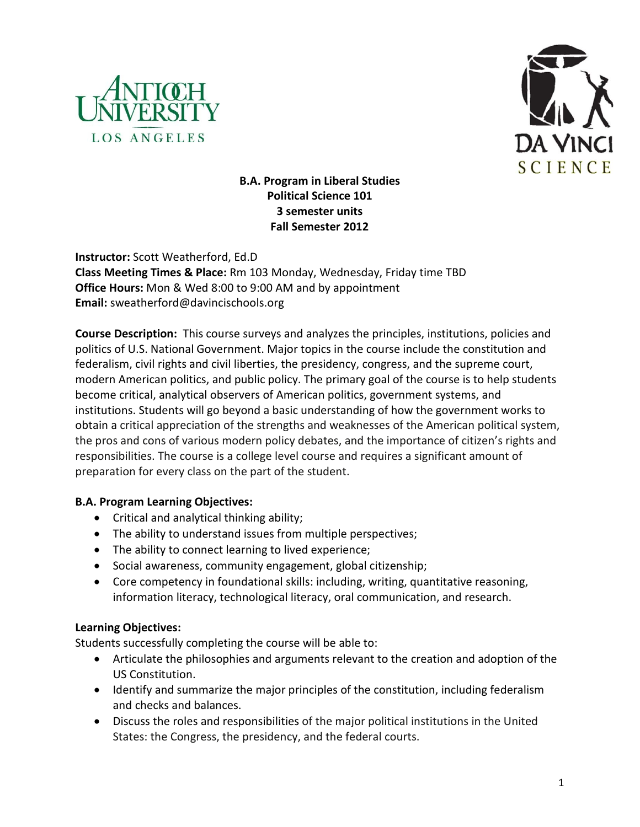



# **B.A. Program in Liberal Studies Political Science 101 3 semester units Fall Semester 2012**

**Instructor:** Scott Weatherford, Ed.D **Class Meeting Times & Place:** Rm 103 Monday, Wednesday, Friday time TBD **Office Hours:** Mon & Wed 8:00 to 9:00 AM and by appointment **Email:** sweatherford@davincischools.org

**Course Description:** This course surveys and analyzes the principles, institutions, policies and politics of U.S. National Government. Major topics in the course include the constitution and federalism, civil rights and civil liberties, the presidency, congress, and the supreme court, modern American politics, and public policy. The primary goal of the course is to help students become critical, analytical observers of American politics, government systems, and institutions. Students will go beyond a basic understanding of how the government works to obtain a critical appreciation of the strengths and weaknesses of the American political system, the pros and cons of various modern policy debates, and the importance of citizen's rights and responsibilities. The course is a college level course and requires a significant amount of preparation for every class on the part of the student.

# **B.A. Program Learning Objectives:**

- Critical and analytical thinking ability;
- The ability to understand issues from multiple perspectives;
- The ability to connect learning to lived experience;
- Social awareness, community engagement, global citizenship;
- Core competency in foundational skills: including, writing, quantitative reasoning, information literacy, technological literacy, oral communication, and research.

# **Learning Objectives:**

Students successfully completing the course will be able to:

- Articulate the philosophies and arguments relevant to the creation and adoption of the US Constitution.
- Identify and summarize the major principles of the constitution, including federalism and checks and balances.
- Discuss the roles and responsibilities of the major political institutions in the United States: the Congress, the presidency, and the federal courts.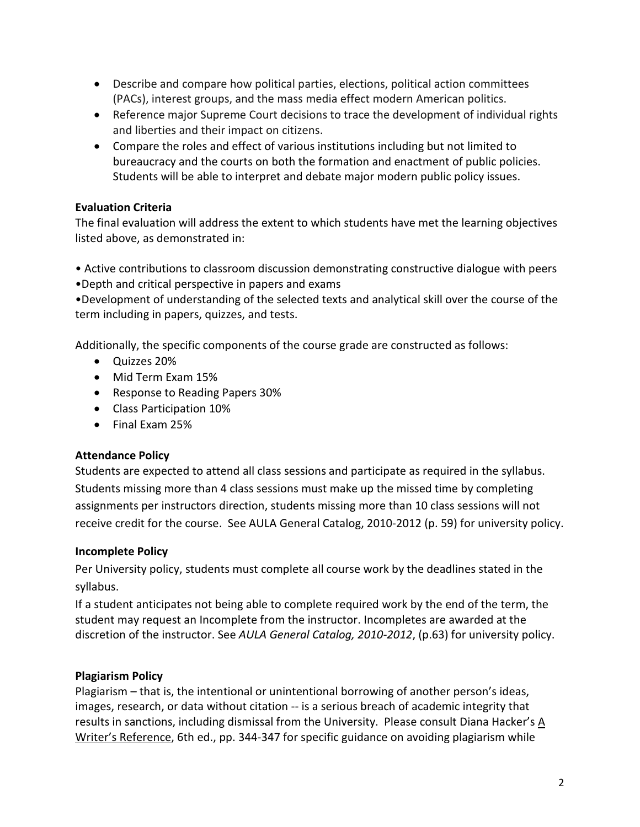- Describe and compare how political parties, elections, political action committees (PACs), interest groups, and the mass media effect modern American politics.
- Reference major Supreme Court decisions to trace the development of individual rights and liberties and their impact on citizens.
- Compare the roles and effect of various institutions including but not limited to bureaucracy and the courts on both the formation and enactment of public policies. Students will be able to interpret and debate major modern public policy issues.

# **Evaluation Criteria**

The final evaluation will address the extent to which students have met the learning objectives listed above, as demonstrated in:

- Active contributions to classroom discussion demonstrating constructive dialogue with peers
- •Depth and critical perspective in papers and exams

•Development of understanding of the selected texts and analytical skill over the course of the term including in papers, quizzes, and tests.

Additionally, the specific components of the course grade are constructed as follows:

- Quizzes 20%
- Mid Term Exam 15%
- Response to Reading Papers 30%
- Class Participation 10%
- Final Exam 25%

# **Attendance Policy**

Students are expected to attend all class sessions and participate as required in the syllabus. Students missing more than 4 class sessions must make up the missed time by completing assignments per instructors direction, students missing more than 10 class sessions will not receive credit for the course. See AULA General Catalog, 2010-2012 (p. 59) for university policy.

# **Incomplete Policy**

Per University policy, students must complete all course work by the deadlines stated in the syllabus.

If a student anticipates not being able to complete required work by the end of the term, the student may request an Incomplete from the instructor. Incompletes are awarded at the discretion of the instructor. See *AULA General Catalog, 2010-2012*, (p.63) for university policy.

# **Plagiarism Policy**

Plagiarism – that is, the intentional or unintentional borrowing of another person's ideas, images, research, or data without citation -- is a serious breach of academic integrity that results in sanctions, including dismissal from the University. Please consult Diana Hacker's A Writer's Reference, 6th ed., pp. 344-347 for specific guidance on avoiding plagiarism while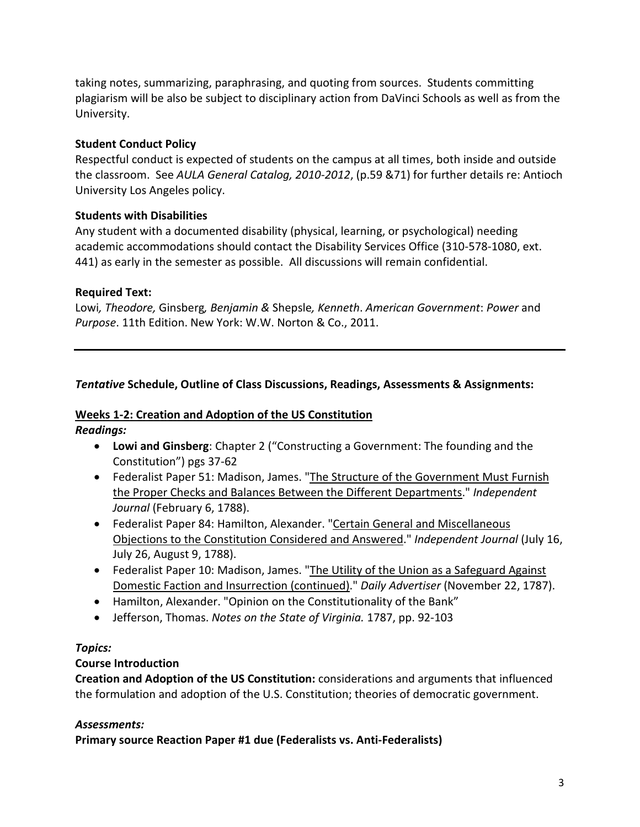taking notes, summarizing, paraphrasing, and quoting from sources. Students committing plagiarism will be also be subject to disciplinary action from DaVinci Schools as well as from the University.

# **Student Conduct Policy**

Respectful conduct is expected of students on the campus at all times, both inside and outside the classroom. See *AULA General Catalog, 2010-2012*, (p.59 &71) for further details re: Antioch University Los Angeles policy.

# **Students with Disabilities**

Any student with a documented disability (physical, learning, or psychological) needing academic accommodations should contact the Disability Services Office (310-578-1080, ext. 441) as early in the semester as possible. All discussions will remain confidential.

# **Required Text:**

Lowi*, Theodore,* Ginsberg*, Benjamin &* Shepsle*, Kenneth*. *American Government*: *Power* and *Purpose*. 11th Edition. New York: W.W. Norton & Co., 2011.

# *Tentative* **Schedule, Outline of Class Discussions, Readings, Assessments & Assignments:**

#### **Weeks 1-2: Creation and Adoption of the US Constitution** *Readings:*

- **Lowi and Ginsberg**: Chapter 2 ("Constructing a Government: The founding and the Constitution") pgs 37-62
- Federalist Paper 51: Madison, James. ["The Structure of the Government Must Furnish](http://www.constitution.org/fed/federa51.htm)  [the Proper Checks and Balances Between the Different Departments.](http://www.constitution.org/fed/federa51.htm)" *Independent Journal* (February 6, 1788).
- Federalist Paper 84: Hamilton, Alexander. ["Certain General and Miscellaneous](http://www.constitution.org/fed/federa84.htm)  [Objections to the Constitution Considered and Answered.](http://www.constitution.org/fed/federa84.htm)" *Independent Journal* (July 16, July 26, August 9, 1788).
- Federalist Paper 10: Madison, James. ["The Utility of the Union as a Safeguard Against](http://www.constitution.org/fed/federa10.htm) [Domestic Faction and Insurrection \(continued\).](http://www.constitution.org/fed/federa10.htm)" *Daily Advertiser* (November 22, 1787).
- Hamilton, Alexander. "Opinion on the Constitutionality of the Bank"
- Jefferson, Thomas. *Notes on the State of Virginia.* 1787, pp. 92-103

# *Topics:*

# **Course Introduction**

**Creation and Adoption of the US Constitution:** considerations and arguments that influenced the formulation and adoption of the U.S. Constitution; theories of democratic government.

# *Assessments:*

**Primary source Reaction Paper #1 due (Federalists vs. Anti-Federalists)**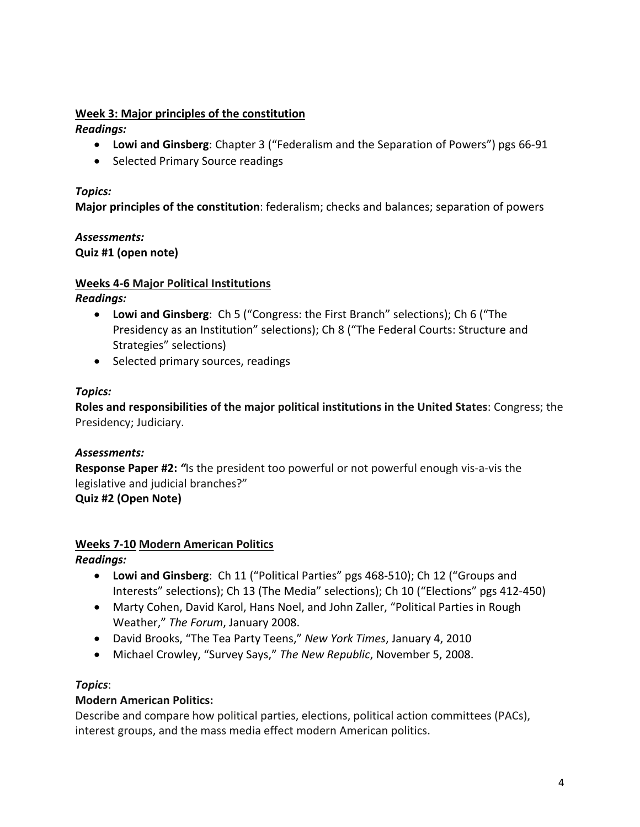# **Week 3: Major principles of the constitution**

*Readings:*

- **Lowi and Ginsberg**: Chapter 3 ("Federalism and the Separation of Powers") pgs 66-91
- Selected Primary Source readings

## *Topics:*

**Major principles of the constitution**: federalism; checks and balances; separation of powers

# *Assessments:*

**Quiz #1 (open note)**

#### **Weeks 4-6 Major Political Institutions**

*Readings:*

- **Lowi and Ginsberg**: Ch 5 ("Congress: the First Branch" selections); Ch 6 ("The Presidency as an Institution" selections); Ch 8 ("The Federal Courts: Structure and Strategies" selections)
- Selected primary sources, readings

# *Topics:*

**Roles and responsibilities of the major political institutions in the United States**: Congress; the Presidency; Judiciary.

# *Assessments:*

**Response Paper #2:** *"*Is the president too powerful or not powerful enough vis-a-vis the legislative and judicial branches?"

**Quiz #2 (Open Note)**

# **Weeks 7-10 Modern American Politics**

*Readings:*

- **Lowi and Ginsberg**: Ch 11 ("Political Parties" pgs 468-510); Ch 12 ("Groups and Interests" selections); Ch 13 (The Media" selections); Ch 10 ("Elections" pgs 412-450)
- Marty Cohen, David Karol, Hans Noel, and John Zaller, "Political Parties in Rough Weather," *The Forum*, January 2008.
- David Brooks, "The Tea Party Teens," *New York Times*, January 4, 2010
- Michael Crowley, "Survey Says," *The New Republic*, November 5, 2008.

# *Topics*:

# **Modern American Politics:**

Describe and compare how political parties, elections, political action committees (PACs), interest groups, and the mass media effect modern American politics.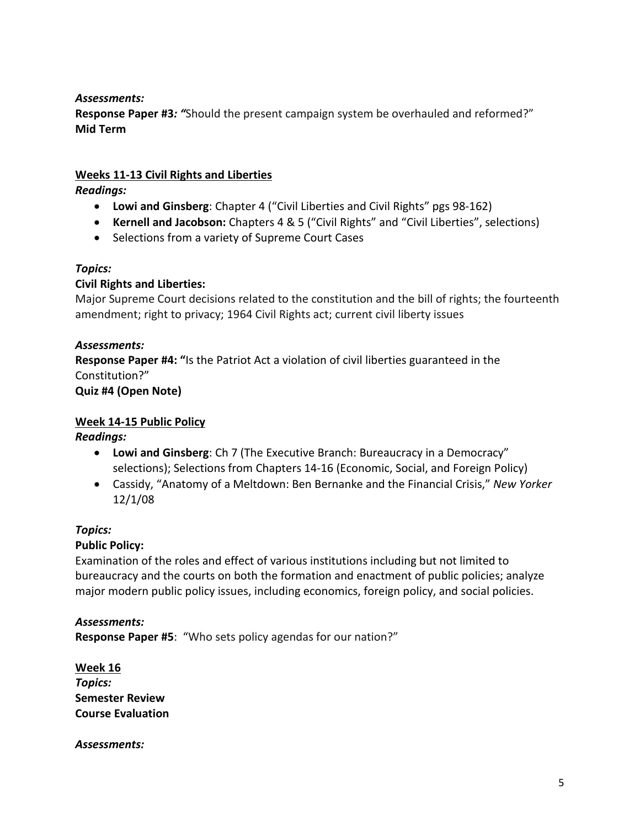## *Assessments:*

**Response Paper #3***: "*Should the present campaign system be overhauled and reformed?" **Mid Term** 

## **Weeks 11-13 Civil Rights and Liberties**

*Readings:*

- **Lowi and Ginsberg**: Chapter 4 ("Civil Liberties and Civil Rights" pgs 98-162)
- **Kernell and Jacobson:** Chapters 4 & 5 ("Civil Rights" and "Civil Liberties", selections)
- Selections from a variety of Supreme Court Cases

#### *Topics:*

# **Civil Rights and Liberties:**

Major Supreme Court decisions related to the constitution and the bill of rights; the fourteenth amendment; right to privacy; 1964 Civil Rights act; current civil liberty issues

#### *Assessments:*

**Response Paper #4: "**Is the Patriot Act a violation of civil liberties guaranteed in the Constitution?"

**Quiz #4 (Open Note)**

# **Week 14-15 Public Policy**

*Readings:*

- **Lowi and Ginsberg**: Ch 7 (The Executive Branch: Bureaucracy in a Democracy" selections); Selections from Chapters 14-16 (Economic, Social, and Foreign Policy)
- Cassidy, "Anatomy of a Meltdown: Ben Bernanke and the Financial Crisis," *New Yorker*  12/1/08

#### *Topics:*

# **Public Policy:**

Examination of the roles and effect of various institutions including but not limited to bureaucracy and the courts on both the formation and enactment of public policies; analyze major modern public policy issues, including economics, foreign policy, and social policies.

*Assessments:* **Response Paper #5**: "Who sets policy agendas for our nation?"

**Week 16** *Topics:* **Semester Review Course Evaluation**

*Assessments:*